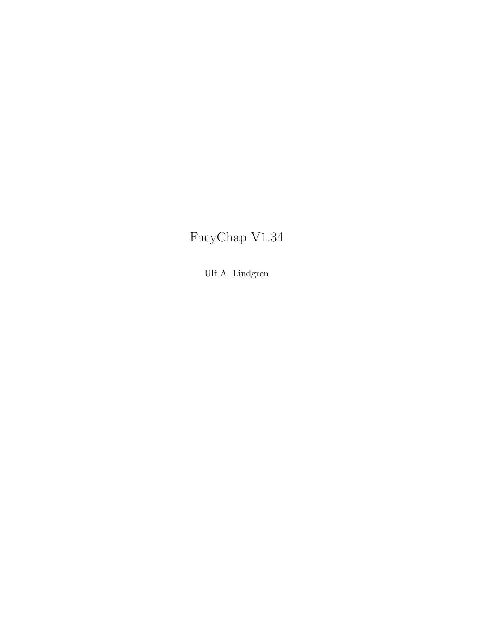## FncyChap V1.34

Ulf A. Lindgren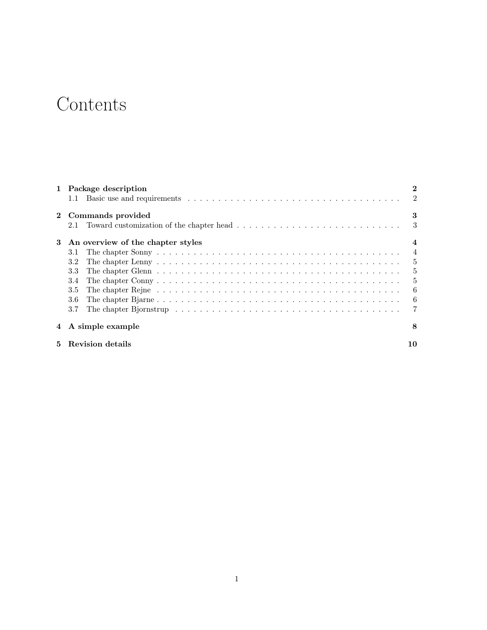# Contents

|    | 1 Package description<br>1.1                                                                                                                          | $\overline{2}$ |
|----|-------------------------------------------------------------------------------------------------------------------------------------------------------|----------------|
|    | Commands provided                                                                                                                                     | 3<br>3         |
| 3  | Toward customization of the chapter head $\ldots \ldots \ldots \ldots \ldots \ldots \ldots \ldots \ldots$<br>2.1<br>An overview of the chapter styles | 4              |
|    | 3.1                                                                                                                                                   | 4              |
|    | 3.2                                                                                                                                                   | $\frac{5}{2}$  |
|    | 3.3                                                                                                                                                   | 5              |
|    | 3.4                                                                                                                                                   | 5              |
|    | 3.5                                                                                                                                                   | -6             |
|    | 3.6                                                                                                                                                   | -6             |
|    | 3.7<br>The chapter Bjornstrup resources in the contract in the chapter Bjornstrup resources in the chapter of the chapter                             |                |
|    | 4 A simple example                                                                                                                                    | 8              |
| 5. | Revision details                                                                                                                                      | 10             |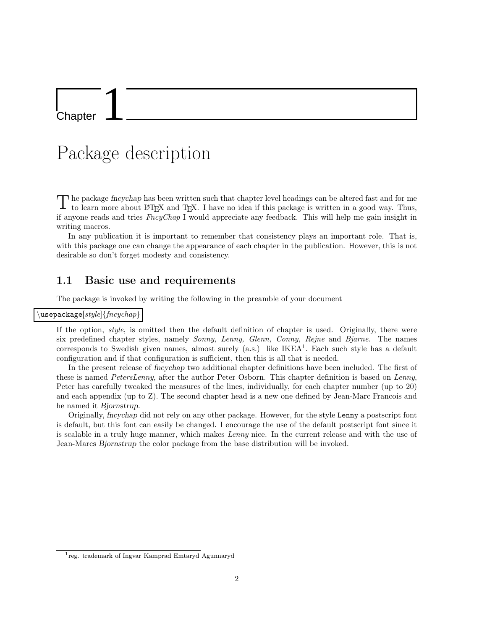**Chapter** 

## Package description

The package *fncychap* has been written such that chapter level headings can be altered fast and for me<br>to learn more about IAT and TaX. I have no idea if this package is written in a good way. Thus to learn more about LAT<sub>E</sub>X and T<sub>E</sub>X. I have no idea if this package is written in a good way. Thus, if anyone reads and tries FncyChap I would appreciate any feedback. This will help me gain insight in writing macros.

In any publication it is important to remember that consistency plays an important role. That is, with this package one can change the appearance of each chapter in the publication. However, this is not desirable so don't forget modesty and consistency.

#### 1.1 Basic use and requirements

The package is invoked by writing the following in the preamble of your document

#### $\Delta$ usepackage $[style]\{fncychap\}$

If the option, style, is omitted then the default definition of chapter is used. Originally, there were six predefined chapter styles, namely *Sonny, Lenny, Glenn, Conny, Rejne* and *Bjarne*. The names corresponds to Swedish given names, almost surely (a.s.) like IKEA<sup>1</sup>. Each such style has a default configuration and if that configuration is sufficient, then this is all that is needed.

In the present release of *fincychap* two additional chapter definitions have been included. The first of these is named PetersLenny, after the author Peter Osborn. This chapter definition is based on Lenny, Peter has carefully tweaked the measures of the lines, individually, for each chapter number (up to 20) and each appendix (up to Z). The second chapter head is a new one defined by Jean-Marc Francois and he named it Bjornstrup.

Originally, fncychap did not rely on any other package. However, for the style Lenny a postscript font is default, but this font can easily be changed. I encourage the use of the default postscript font since it is scalable in a truly huge manner, which makes Lenny nice. In the current release and with the use of Jean-Marcs Bjornstrup the color package from the base distribution will be invoked.

<sup>1</sup> reg. trademark of Ingvar Kamprad Emtaryd Agunnaryd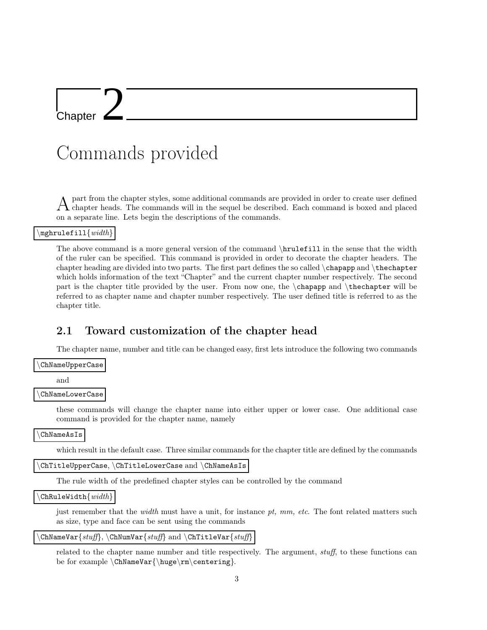l<br>Chapter

# Commands provided

A part from the chapter styles, some additional commands are provided in order to create user defined chapter heads. The commands will in the sequel be described. Each command is boxed and placed on a separate line. Lets begin the descriptions of the commands.

#### \mghrulefill $\{width\}$

The above command is a more general version of the command \hrulefill in the sense that the width of the ruler can be specified. This command is provided in order to decorate the chapter headers. The chapter heading are divided into two parts. The first part defines the so called  $\chap$  chapapp and  $\thinspace\thinspace\thinspace\thinspace$  the chapter which holds information of the text "Chapter" and the current chapter number respectively. The second part is the chapter title provided by the user. From now one, the \chapapp and \thechapter will be referred to as chapter name and chapter number respectively. The user defined title is referred to as the chapter title.

#### 2.1 Toward customization of the chapter head

The chapter name, number and title can be changed easy, first lets introduce the following two commands

\ChNameUpperCase

and

\ChNameLowerCase

these commands will change the chapter name into either upper or lower case. One additional case command is provided for the chapter name, namely

\ChNameAsIs

which result in the default case. Three similar commands for the chapter title are defined by the commands

 $\text{ChTitleUpperCase}, \text{ChTitleLowerCase}$  and  $\text{ChNameAsIs}$ 

The rule width of the predefined chapter styles can be controlled by the command

 $\text{ChRuleWidth}\{width\}$ 

just remember that the *width* must have a unit, for instance  $pt$ ,  $mm$ ,  $etc$ . The font related matters such as size, type and face can be sent using the commands

 $\text{ChNameVar}\left\{\text{stuff}\right\}$ ,  $\text{ChNumVar}\left\{\text{stuff}\right\}$  and  $\text{ChTitleVar}\left\{\text{stuff}\right\}$ 

related to the chapter name number and title respectively. The argument, stuff, to these functions can be for example  $\Lambda\$  \the Var{\huge\rm\centering}.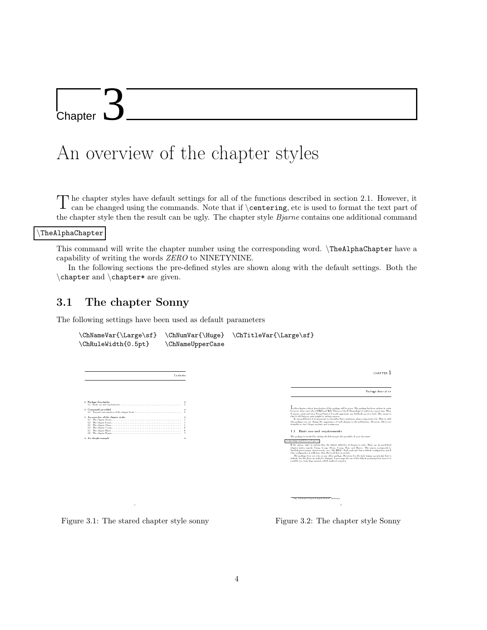L<br>Chapter

## An overview of the chapter styles

The chapter styles have default settings for all of the functions described in section 2.1. However, it can be changed using the commands. Note that if  $\text{center}$  at a sused to format the text part of can be changed using the commands. Note that if \centering, etc is used to format the text part of the chapter style then the result can be ugly. The chapter style *Bjarne* contains one additional command

\TheAlphaChapter

This command will write the chapter number using the corresponding word. \TheAlphaChapter have a capability of writing the words ZERO to NINETYNINE.

In the following sections the pre-defined styles are shown along with the default settings. Both the \chapter and \chapter\* are given.

#### 3.1 The chapter Sonny

The following settings have been used as default parameters





Figure 3.1: The stared chapter style sonny

Figure 3.2: The chapter style Sonny

1reg. trademark of Ingvar Kamprad Elmhult Aktiebolag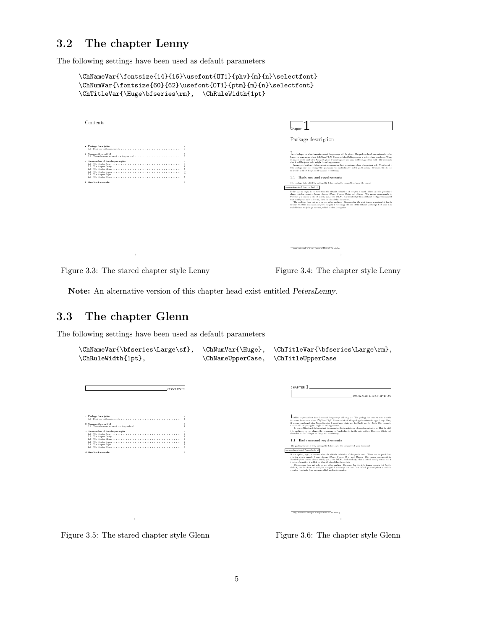## 3.2 The chapter Lenny

The following settings have been used as default parameters

```
\label{th:main} $$\ChNameVar{\font size{14}{16}\usefont{OT1}{phv}_{m}_{n}\selectfont}$$\label{th:main} $$\ChNumVar{\fontsize{60}_{62}\usefont{OT1}{ptm}_{m}_{n}\selectfont}$$\ChTitleVar{\Huge\bfseries\rm}, \ChRuleWidth{1pt}
       Contents
                                                                                                                                                                                                                                                                                                       Chapter 1
                                                                                                                                                                                                                                                                                                       Package description
         1 Package description 2
1.1 Basic use and requirements . . . . . . . . . . . . . . . . . . . . . . . . . . . . . . . . . . . 2
       2 Commands provided 3
                                                                                                                                                                                                                                                                                                       for an is brown mean about 1992, and 1985. I have no lies if this package is well to in a good way. Thus, if any extra finite in the state of the state of the state of the state of the state of the state of the state of t
         \begin{minipage}[t]{0.9\textwidth} \begin{tabular}{|c|c|} \hline 3 & \text{A}a & \text{magnetic} & \text{B} & \text{B} & \text{C} \\ 1 & 11 & \text{The object of line} & \text{C} & \text{D} & \text{D} \\ 2 & 12 & \text{The object of line} & \text{D} & \text{D} & \text{D} \\ 3 & 23 & \text{The object of line} & \text{D} & \text{D} & \text{D} \\ 4 & 3 & \text{The object of line} & \text{D} & \text{D} & \text{D} & \text{D} \\ 5 & 4 & \text{The object of line1.1 Basic use and requirements
                                                                                                                                                                                                                                                                                               The package is invoked by writing the following in the preamble of your document
nusepackage[style]ffancychaptersg
If the option, style, is omitted then the default denition of chapter is used. There are six predened
chapter styles, namely Sonny, Lenny, Glenn, Conny, Rejne and Bjarne. The names corresponds to
Swedish given names, almost surely (a.e.) like IKEA1
. Each such style has a default conguration and if
that conguration is sucient, then this is all that is needed.
The package does not rely on any other package. However, for the style Lenny a postscript font is
default, but this font can easily be changed. I encourage the use of the default postscript font since it is
scalable in a truly huge manner, which makes Lenny nice.
```
Figure 3.3: The stared chapter style Lenny

Figure 3.4: The chapter style Lenny

Note: An alternative version of this chapter head exist entitled PetersLenny.

#### 3.3 The chapter Glenn

The following settings have been used as default parameters

CONTENTS

```
\ChNameVar{\bfseries\Large\sf}, \ChNumVar{\Huge}, \ChTitleVar{\bfseries\Large\rm},
\ChRuleWidth{1pt}, \ChNameUpperCase, \ChTitleUpperCase
```




Figure 3.5: The stared chapter style Glenn

Figure 3.6: The chapter style Glenn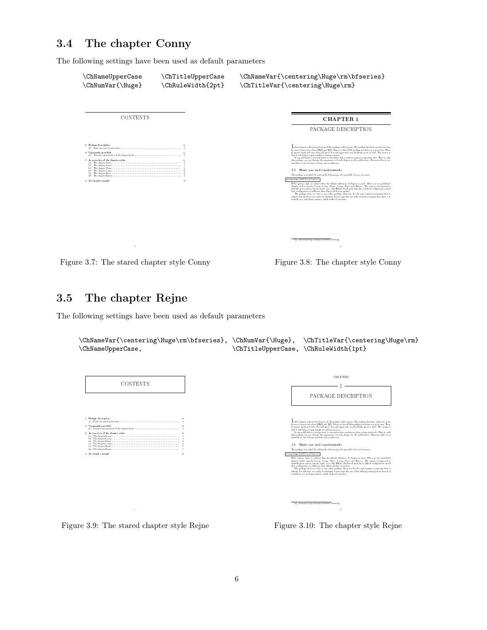## 3.4 The chapter Conny

The following settings have been used as default parameters



Figure 3.7: The stared chapter style Conny

Figure 3.8: The chapter style Conny

## 3.5 The chapter Rejne

The following settings have been used as default parameters





Figure 3.10: The chapter style Rejne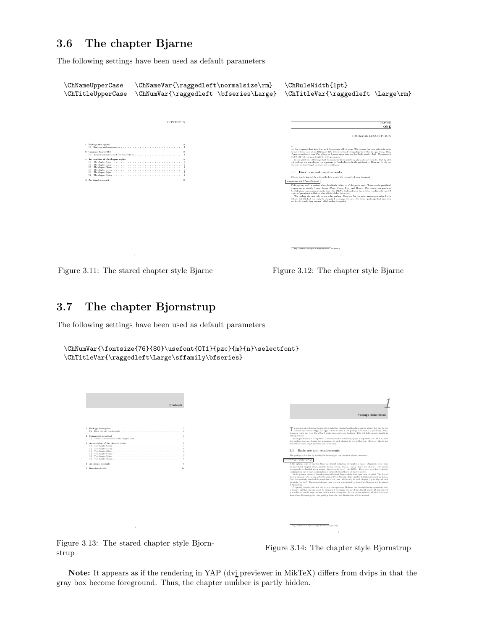## 3.6 The chapter Bjarne

The following settings have been used as default parameters



Figure 3.11: The stared chapter style Bjarne



## 3.7 The chapter Bjornstrup

The following settings have been used as default parameters

```
\ChNumVar{\fontsize{76}{80}\usefont{OT1}{pzc}{m}{n}\selectfont}
\ChTitleVar{\raggedleft\Large\sffamily\bfseries}
```

| Contents                                                                            |                                  |                             |
|-------------------------------------------------------------------------------------|----------------------------------|-----------------------------|
|                                                                                     |                                  |                             |
|                                                                                     |                                  |                             |
| 1 Package description<br>2 Commands provided<br>3 An overview of the chapter styles | $\overline{2}$<br>$\overline{2}$ |                             |
|                                                                                     |                                  |                             |
| 4 An simple example                                                                 | $\Omega$                         | usepackage[sfgle]{fncgchap} |
| 5 Revision details                                                                  | 11                               |                             |
|                                                                                     |                                  |                             |
|                                                                                     |                                  |                             |
|                                                                                     |                                  |                             |
|                                                                                     |                                  |                             |

Figure 3.13: The stared chapter style Bjornstrup

Figure 3.14: The chapter style Bjornstrup

Note: It appears as if the rendering in YAP (dvi previewer in MikTeX) differs from dvips in that the gray box become foreground. Thus, the chapter number is partly hidden.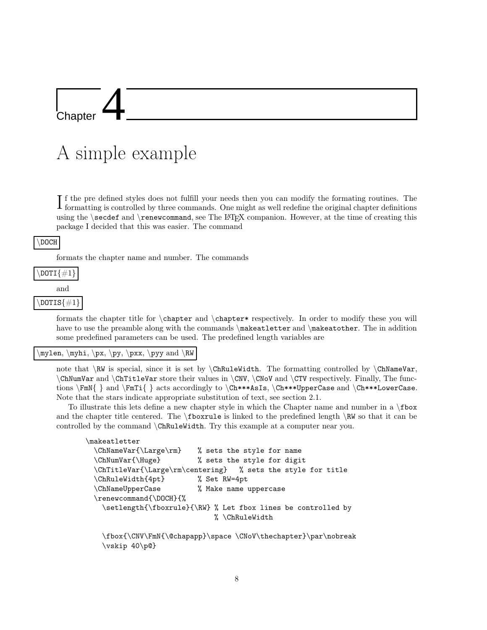Chapter

# A simple example

If the pre defined styles does not fulfill your needs then you can modify the formating routines. The formating is controlled by three commands. One might as well redefine the original chapter definitions formatting is controlled by three commands. One might as well redefine the original chapter definitions using the \secdef and \renewcommand, see The LAT<sub>EX</sub> companion. However, at the time of creating this package I decided that this was easier. The command

#### \DOCH

formats the chapter name and number. The commands



formats the chapter title for \chapter and \chapter\* respectively. In order to modify these you will have to use the preamble along with the commands \makeatletter and \makeatother. The in addition some predefined parameters can be used. The predefined length variables are

#### \mylen, \myhi, \px, \py, \pxx, \pyy and \RW

note that  $\R$ W is special, since it is set by  $\C{R\nu}$  ChRuleWidth. The formatting controlled by  $\C{R\nu}$ \ChNumVar and \ChTitleVar store their values in \CNV, \CNoV and \CTV respectively. Finally, The functions \FmN{ } and \FmTi{ } acts accordingly to \Ch\*\*\*AsIs, \Ch\*\*\*UpperCase and \Ch\*\*\*LowerCase. Note that the stars indicate appropriate substitution of text, see section 2.1.

To illustrate this lets define a new chapter style in which the Chapter name and number in a \fbox and the chapter title centered. The \fboxrule is linked to the predefined length \RW so that it can be controlled by the command \ChRuleWidth. Try this example at a computer near you.

```
\makeatletter
 \ChNameVar{\Large\rm} % sets the style for name
 \ChNumVar{\Huge} % sets the style for digit
 \ChTitleVar{\Large\rm\centering} % sets the style for title
 \ChRuleWidth{4pt} % Set RW=4pt
 \ChNameUpperCase % Make name uppercase
 \renewcommand{\DOCH}{%
   \setlength{\fboxrule}{\RW} % Let fbox lines be controlled by
                            % \ChRuleWidth
```
\fbox{\CNV\FmN{\@chapapp}\space \CNoV\thechapter}\par\nobreak \vskip 40\p@}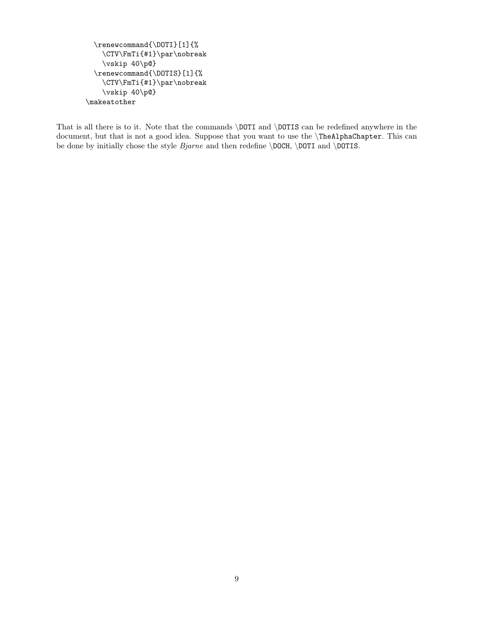```
\renewcommand{\DOTI}[1]{%
   \CTV\FmTi{#1}\par\nobreak
   \vskip 40\p@}
 \renewcommand{\DOTIS}[1]{%
    \CTV\FmTi{#1}\par\nobreak
   \vskip 40\p@}
\makeatother
```
That is all there is to it. Note that the commands \DOTI and \DOTIS can be redefined anywhere in the document, but that is not a good idea. Suppose that you want to use the \TheAlphaChapter. This can be done by initially chose the style  $Bjarne$  and then redefine  $\DOCH$ ,  $DOTI$  and  $DOTIS$ .